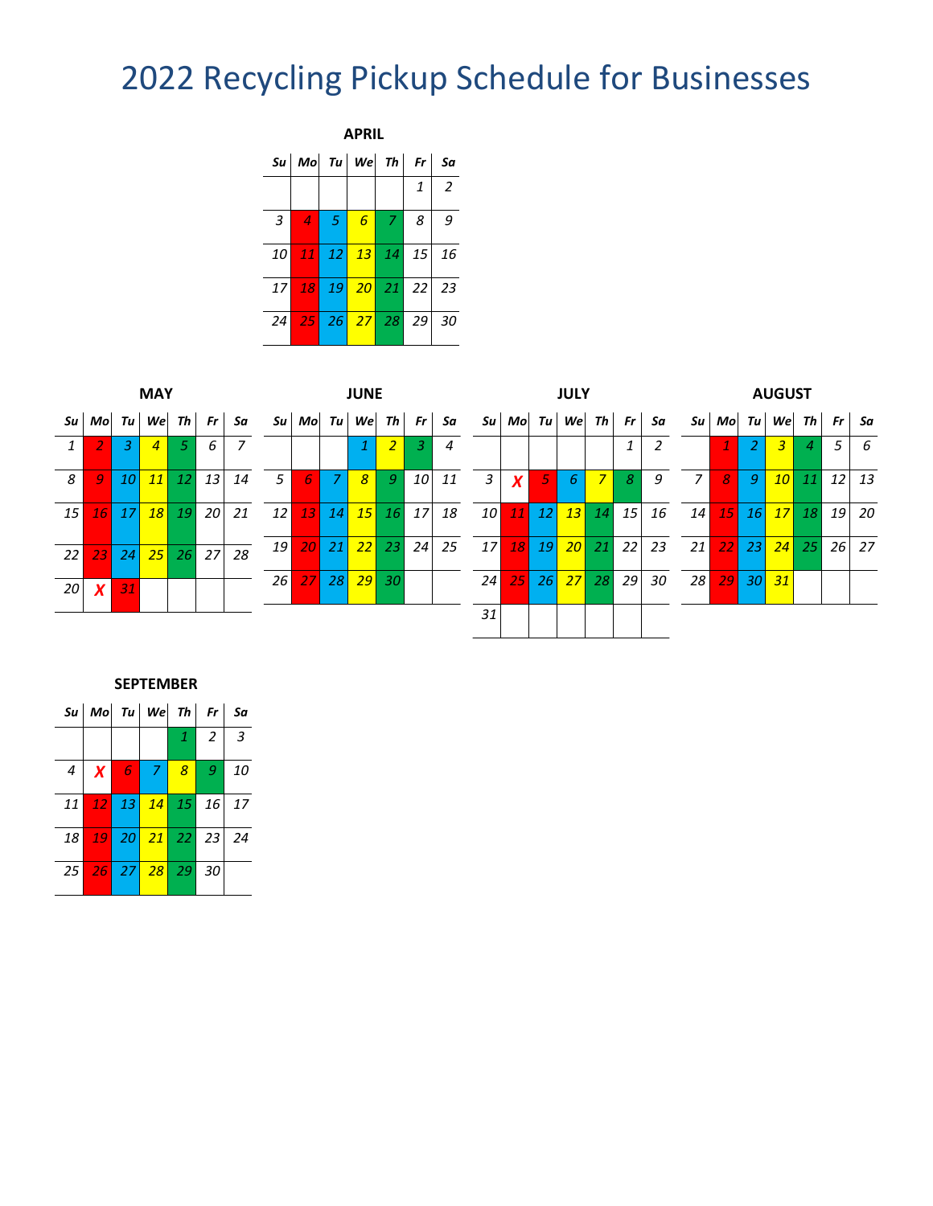## Recycling Pickup Schedule for Businesses

| <b>APRIL</b>    |                                      |                 |                 |                |            |     |  |  |  |  |  |
|-----------------|--------------------------------------|-----------------|-----------------|----------------|------------|-----|--|--|--|--|--|
|                 | $ S_u $ Mo $ Tu $ We $ Th $ Fr $ Sa$ |                 |                 |                |            |     |  |  |  |  |  |
|                 |                                      |                 |                 |                | 1          | 2   |  |  |  |  |  |
| 3               | $\overline{4}$                       | $\vert 5 \vert$ | $\epsilon$      | 7              | 8          | 9   |  |  |  |  |  |
| 10 I            |                                      |                 | 11 12 13 14     |                | $\vert$ 15 | 16  |  |  |  |  |  |
| 17 <sup>1</sup> |                                      |                 |                 | 18 19 20 21 22 |            | -23 |  |  |  |  |  |
| 24 <sup>1</sup> |                                      |                 | $25$ 26 $27$ 28 |                | 29         | 30  |  |  |  |  |  |

|                 |                  |       | <b>MAY</b>     |               |           |    |                 |           |                 | <b>JUNE</b>                   |                |                 |    |                 |                  |                 | <b>JULY</b>                |                |                 |    |                |                 |                 | <b>AUGUST</b>   |           |               |     |
|-----------------|------------------|-------|----------------|---------------|-----------|----|-----------------|-----------|-----------------|-------------------------------|----------------|-----------------|----|-----------------|------------------|-----------------|----------------------------|----------------|-----------------|----|----------------|-----------------|-----------------|-----------------|-----------|---------------|-----|
| Su l            |                  | Mo Tu | Wel            |               | $Th$ $Fr$ | Sa |                 |           |                 | $\mathcal{S}u$ Mo Tu We Th Fr |                |                 | Sa |                 |                  |                 | $\mathcal{S}u$ Mo Tu We Th |                | Fr              | Sa |                | Su Mo           | Tul             |                 |           | We Th $Fr$ Sa |     |
| 1               |                  | 3     | $\overline{4}$ | 57            | 6         |    |                 |           |                 |                               | $\overline{2}$ | 3               | 4  |                 |                  |                 |                            |                | 1               |    |                |                 |                 | 3               |           | 5             | - 6 |
| 8               | 9                | 10    | 11             | <b>12</b>     | 13        | 14 | 5 <sup>5</sup>  | 6         | $\overline{7}$  | $\overline{8}$                | $\mathcal{G}$  | 10 <sup>1</sup> | 11 | 3               | $\boldsymbol{x}$ | 5               | 6                          | $\overline{7}$ | 8               | 9  | $\overline{z}$ | 8               | 9               | 10 <sup>1</sup> | 11        | 12            | 13  |
| 15 <sup>1</sup> | 16               | 17    | <b>18</b>      | <sup>19</sup> | 20 l      | 21 | 12 <sup>1</sup> | 13        | 14              | 15 <sup>1</sup>               | <b>16</b>      | 17              | 18 | 10 <sup>1</sup> | <b>11</b>        | 12              | 13                         | 14             | 15 <sup>1</sup> | 16 | 14             | 15 <sup>1</sup> | 16 <sup>l</sup> | 17 <sup>1</sup> | <b>18</b> | 19            | -20 |
| 22 <sup>1</sup> | 23               | 24    | 25             | <b>26</b>     | 27        | 28 | 19 I            | 20        | 21              | 22                            | 23             | 24              | 25 | 17 <sup>1</sup> | <b>18</b>        | - 19            | 20 <sup>2</sup>            | 21             | 22              | 23 | 21             | 22              | 23 <sup>1</sup> | 24              | 25        | 26 I          | 27  |
| 20 <sup>1</sup> | $\boldsymbol{X}$ | 31    |                |               |           |    | <b>26</b>       | <b>27</b> | 28 <sup>1</sup> |                               | $29$ 30        |                 |    | 24              | 25               | 26 <sup>1</sup> | 27                         | 28             | 29              | 30 | 28             | 29              | 30 <sup>1</sup> | 31              |           |               |     |
|                 |                  |       |                |               |           |    |                 |           |                 |                               |                |                 |    | 31              |                  |                 |                            |                |                 |    |                |                 |                 |                 |           |               |     |

## **SEPTEMBER**

|                | $\begin{vmatrix} \text{S}u & \text{Mo} & \text{Tu} \end{vmatrix}$ We Th Fr Sa |      |              |   |    |  |  |
|----------------|-------------------------------------------------------------------------------|------|--------------|---|----|--|--|
|                |                                                                               |      | $\mathbf{1}$ | 2 | 3  |  |  |
| $\overline{4}$ | $\boldsymbol{X}$                                                              | 6789 |              |   | 10 |  |  |
|                | 11 12 13 14 15 16 17                                                          |      |              |   |    |  |  |
|                | 18 <mark>19</mark> 20 21 22 23 24                                             |      |              |   |    |  |  |
|                | 25 26 27 28 29 30                                                             |      |              |   |    |  |  |